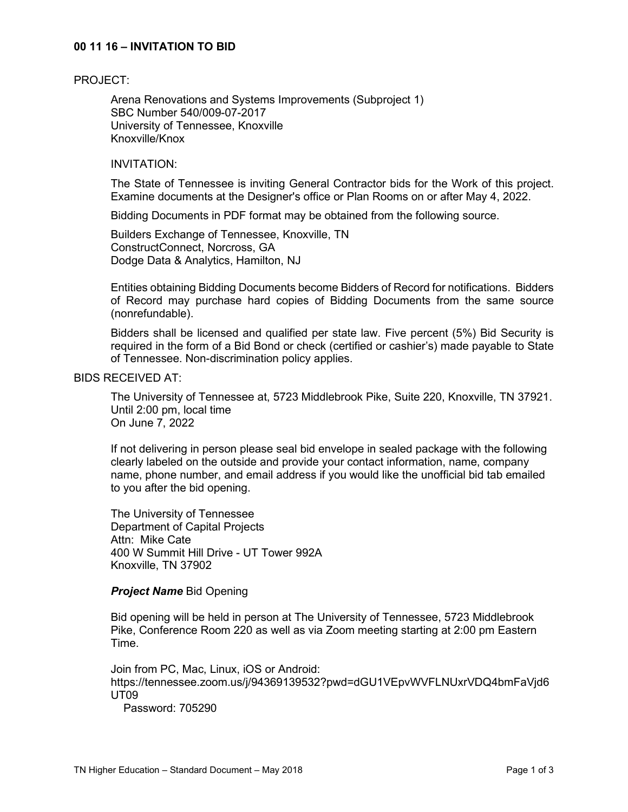### **00 11 16 – INVITATION TO BID**

#### PROJECT:

Arena Renovations and Systems Improvements (Subproject 1) SBC Number 540/009-07-2017 University of Tennessee, Knoxville Knoxville/Knox

#### INVITATION:

The State of Tennessee is inviting General Contractor bids for the Work of this project. Examine documents at the Designer's office or Plan Rooms on or after May 4, 2022.

Bidding Documents in PDF format may be obtained from the following source.

Builders Exchange of Tennessee, Knoxville, TN ConstructConnect, Norcross, GA Dodge Data & Analytics, Hamilton, NJ

Entities obtaining Bidding Documents become Bidders of Record for notifications. Bidders of Record may purchase hard copies of Bidding Documents from the same source (nonrefundable).

Bidders shall be licensed and qualified per state law. Five percent (5%) Bid Security is required in the form of a Bid Bond or check (certified or cashier's) made payable to State of Tennessee. Non-discrimination policy applies.

## BIDS RECEIVED AT:

The University of Tennessee at, 5723 Middlebrook Pike, Suite 220, Knoxville, TN 37921. Until 2:00 pm, local time On June 7, 2022

If not delivering in person please seal bid envelope in sealed package with the following clearly labeled on the outside and provide your contact information, name, company name, phone number, and email address if you would like the unofficial bid tab emailed to you after the bid opening.

The University of Tennessee Department of Capital Projects Attn: Mike Cate 400 W Summit Hill Drive - UT Tower 992A Knoxville, TN 37902

#### *Project Name* Bid Opening

Bid opening will be held in person at The University of Tennessee, 5723 Middlebrook Pike, Conference Room 220 as well as via Zoom meeting starting at 2:00 pm Eastern Time.

Join from PC, Mac, Linux, iOS or Android: https://tennessee.zoom.us/j/94369139532?pwd=dGU1VEpvWVFLNUxrVDQ4bmFaVjd6 UT09

Password: 705290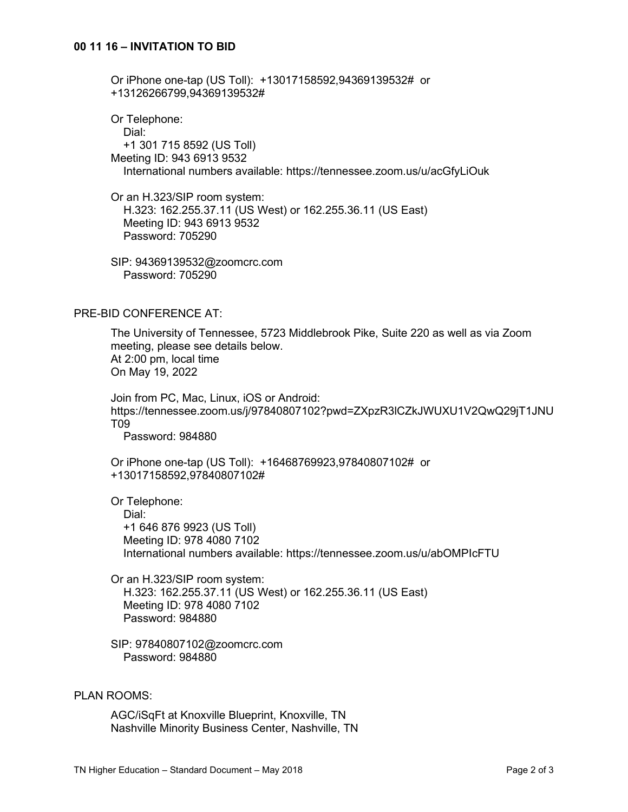Or iPhone one-tap (US Toll): +13017158592,94369139532# or +13126266799,94369139532#

Or Telephone: Dial: +1 301 715 8592 (US Toll) Meeting ID: 943 6913 9532 International numbers available: https://tennessee.zoom.us/u/acGfyLiOuk

Or an H.323/SIP room system: H.323: 162.255.37.11 (US West) or 162.255.36.11 (US East) Meeting ID: 943 6913 9532 Password: 705290

SIP: 94369139532@zoomcrc.com Password: 705290

## PRE-BID CONFERENCE AT:

The University of Tennessee, 5723 Middlebrook Pike, Suite 220 as well as via Zoom meeting, please see details below. At 2:00 pm, local time On May 19, 2022

Join from PC, Mac, Linux, iOS or Android: https://tennessee.zoom.us/j/97840807102?pwd=ZXpzR3lCZkJWUXU1V2QwQ29jT1JNU T09

Password: 984880

Or iPhone one-tap (US Toll): +16468769923,97840807102# or +13017158592,97840807102#

Or Telephone:

 Dial: +1 646 876 9923 (US Toll) Meeting ID: 978 4080 7102 International numbers available: https://tennessee.zoom.us/u/abOMPIcFTU

Or an H.323/SIP room system: H.323: 162.255.37.11 (US West) or 162.255.36.11 (US East) Meeting ID: 978 4080 7102 Password: 984880

SIP: 97840807102@zoomcrc.com Password: 984880

## PLAN ROOMS:

AGC/iSqFt at Knoxville Blueprint, Knoxville, TN Nashville Minority Business Center, Nashville, TN